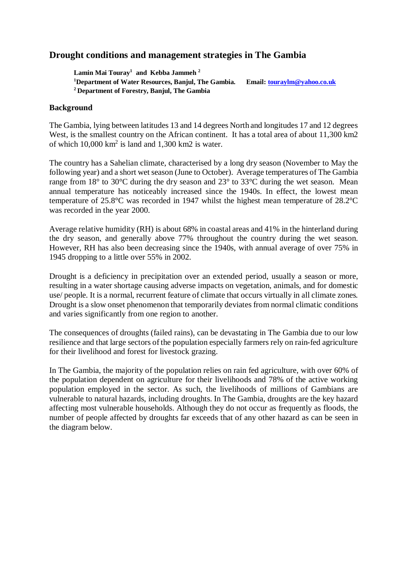# **Drought conditions and management strategies in The Gambia**

**Lamin Mai Touray<sup>1</sup> and Kebba Jammeh <sup>2</sup> <sup>1</sup>Department of Water Resources, Banjul, The Gambia. Email: touraylm@yahoo.co.uk <sup>2</sup> Department of Forestry, Banjul, The Gambia**

### **Background**

The Gambia, lying between latitudes 13 and 14 degrees North and longitudes 17 and 12 degrees West, is the smallest country on the African continent. It has a total area of about 11,300 km2 of which  $10,000 \text{ km}^2$  is land and  $1,300 \text{ km}2$  is water.

The country has a Sahelian climate, characterised by a long dry season (November to May the following year) and a short wet season (June to October). Average temperatures of The Gambia range from 18° to 30°C during the dry season and 23° to 33°C during the wet season. Mean annual temperature has noticeably increased since the 1940s. In effect, the lowest mean temperature of 25.8°C was recorded in 1947 whilst the highest mean temperature of 28.2°C was recorded in the year 2000.

Average relative humidity (RH) is about 68% in coastal areas and 41% in the hinterland during the dry season, and generally above 77% throughout the country during the wet season. However, RH has also been decreasing since the 1940s, with annual average of over 75% in 1945 dropping to a little over 55% in 2002.

Drought is a deficiency in precipitation over an extended period, usually a season or more, resulting in a water shortage causing adverse impacts on vegetation, animals, and for domestic use/ people. It is a normal, recurrent feature of climate that occurs virtually in all climate zones. Drought is a slow onset phenomenon that temporarily deviates from normal climatic conditions and varies significantly from one region to another.

The consequences of droughts (failed rains), can be devastating in The Gambia due to our low resilience and that large sectors of the population especially farmers rely on rain-fed agriculture for their livelihood and forest for livestock grazing.

In The Gambia, the majority of the population relies on rain fed agriculture, with over 60% of the population dependent on agriculture for their livelihoods and 78% of the active working population employed in the sector. As such, the livelihoods of millions of Gambians are vulnerable to natural hazards, including droughts. In The Gambia, droughts are the key hazard affecting most vulnerable households. Although they do not occur as frequently as floods, the number of people affected by droughts far exceeds that of any other hazard as can be seen in the diagram below.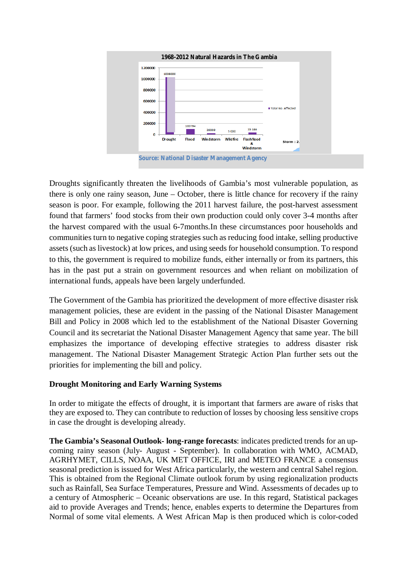

Droughts significantly threaten the livelihoods of Gambia's most vulnerable population, as there is only one rainy season, June – October, there is little chance for recovery if the rainy season is poor. For example, following the 2011 harvest failure, the post-harvest assessment found that farmers' food stocks from their own production could only cover 3-4 months after the harvest compared with the usual 6-7months.In these circumstances poor households and communities turn to negative coping strategies such as reducing food intake, selling productive assets (such as livestock) at low prices, and using seeds for household consumption. To respond to this, the government is required to mobilize funds, either internally or from its partners, this has in the past put a strain on government resources and when reliant on mobilization of international funds, appeals have been largely underfunded.

The Government of the Gambia has prioritized the development of more effective disaster risk management policies, these are evident in the passing of the National Disaster Management Bill and Policy in 2008 which led to the establishment of the National Disaster Governing Council and its secretariat the National Disaster Management Agency that same year. The bill emphasizes the importance of developing effective strategies to address disaster risk management. The National Disaster Management Strategic Action Plan further sets out the priorities for implementing the bill and policy.

# **Drought Monitoring and Early Warning Systems**

In order to mitigate the effects of drought, it is important that farmers are aware of risks that they are exposed to. They can contribute to reduction of losses by choosing less sensitive crops in case the drought is developing already.

**The Gambia's Seasonal Outlook- long-range forecasts**: indicates predicted trends for an upcoming rainy season (July- August - September). In collaboration with WMO, ACMAD, AGRHYMET, CILLS, NOAA, UK MET OFFICE, IRI and METEO FRANCE a consensus seasonal prediction is issued for West Africa particularly, the western and central Sahel region. This is obtained from the Regional Climate outlook forum by using regionalization products such as Rainfall, Sea Surface Temperatures, Pressure and Wind. Assessments of decades up to a century of Atmospheric – Oceanic observations are use. In this regard, Statistical packages aid to provide Averages and Trends; hence, enables experts to determine the Departures from Normal of some vital elements. A West African Map is then produced which is color-coded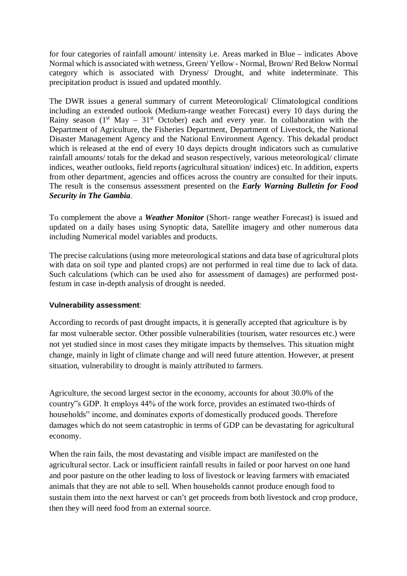for four categories of rainfall amount/ intensity i.e. Areas marked in Blue – indicates Above Normal which is associated with wetness, Green/ Yellow - Normal, Brown/ Red Below Normal category which is associated with Dryness/ Drought, and white indeterminate. This precipitation product is issued and updated monthly.

The DWR issues a general summary of current Meteorological/ Climatological conditions including an extended outlook (Medium-range weather Forecast) every 10 days during the Rainy season  $(1<sup>st</sup> May - 31<sup>st</sup> October)$  each and every year. In collaboration with the Department of Agriculture, the Fisheries Department, Department of Livestock, the National Disaster Management Agency and the National Environment Agency. This dekadal product which is released at the end of every 10 days depicts drought indicators such as cumulative rainfall amounts/ totals for the dekad and season respectively, various meteorological/ climate indices, weather outlooks, field reports (agricultural situation/ indices) etc. In addition, experts from other department, agencies and offices across the country are consulted for their inputs. The result is the consensus assessment presented on the *Early Warning Bulletin for Food Security in The Gambia*.

To complement the above a *Weather Monitor* (Short- range weather Forecast) is issued and updated on a daily bases using Synoptic data, Satellite imagery and other numerous data including Numerical model variables and products.

The precise calculations (using more meteorological stations and data base of agricultural plots with data on soil type and planted crops) are not performed in real time due to lack of data. Such calculations (which can be used also for assessment of damages) are performed postfestum in case in-depth analysis of drought is needed.

### **Vulnerability assessment**:

According to records of past drought impacts, it is generally accepted that agriculture is by far most vulnerable sector. Other possible vulnerabilities (tourism, water resources etc.) were not yet studied since in most cases they mitigate impacts by themselves. This situation might change, mainly in light of climate change and will need future attention. However, at present situation, vulnerability to drought is mainly attributed to farmers.

Agriculture, the second largest sector in the economy, accounts for about 30.0% of the country"s GDP. It employs 44% of the work force, provides an estimated two-thirds of households" income, and dominates exports of domestically produced goods. Therefore damages which do not seem catastrophic in terms of GDP can be devastating for agricultural economy.

When the rain fails, the most devastating and visible impact are manifested on the agricultural sector. Lack or insufficient rainfall results in failed or poor harvest on one hand and poor pasture on the other leading to loss of livestock or leaving farmers with emaciated animals that they are not able to sell. When households cannot produce enough food to sustain them into the next harvest or can't get proceeds from both livestock and crop produce, then they will need food from an external source.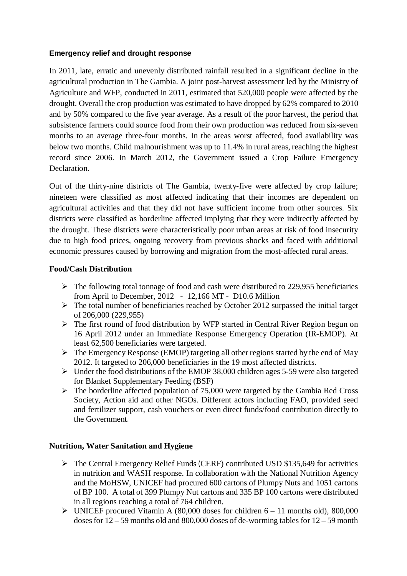# **Emergency relief and drought response**

In 2011, late, erratic and unevenly distributed rainfall resulted in a significant decline in the agricultural production in The Gambia. A joint post-harvest assessment led by the Ministry of Agriculture and WFP, conducted in 2011, estimated that 520,000 people were affected by the drought. Overall the crop production was estimated to have dropped by 62% compared to 2010 and by 50% compared to the five year average. As a result of the poor harvest, the period that subsistence farmers could source food from their own production was reduced from six-seven months to an average three-four months. In the areas worst affected, food availability was below two months. Child malnourishment was up to 11.4% in rural areas, reaching the highest record since 2006. In March 2012, the Government issued a Crop Failure Emergency Declaration.

Out of the thirty-nine districts of The Gambia, twenty-five were affected by crop failure; nineteen were classified as most affected indicating that their incomes are dependent on agricultural activities and that they did not have sufficient income from other sources. Six districts were classified as borderline affected implying that they were indirectly affected by the drought. These districts were characteristically poor urban areas at risk of food insecurity due to high food prices, ongoing recovery from previous shocks and faced with additional economic pressures caused by borrowing and migration from the most-affected rural areas.

# **Food/Cash Distribution**

- $\triangleright$  The following total tonnage of food and cash were distributed to 229,955 beneficiaries from April to December, 2012 - 12,166 MT - D10.6 Million
- $\triangleright$  The total number of beneficiaries reached by October 2012 surpassed the initial target of 206,000 (229,955)
- $\triangleright$  The first round of food distribution by WFP started in Central River Region begun on 16 April 2012 under an Immediate Response Emergency Operation (IR-EMOP). At least 62,500 beneficiaries were targeted.
- $\triangleright$  The Emergency Response (EMOP) targeting all other regions started by the end of May 2012. It targeted to 206,000 beneficiaries in the 19 most affected districts.
- $\triangleright$  Under the food distributions of the EMOP 38,000 children ages 5-59 were also targeted for Blanket Supplementary Feeding (BSF)
- $\triangleright$  The borderline affected population of 75,000 were targeted by the Gambia Red Cross Society, Action aid and other NGOs. Different actors including FAO, provided seed and fertilizer support, cash vouchers or even direct funds/food contribution directly to the Government*.*

### **Nutrition, Water Sanitation and Hygiene**

- $\triangleright$  The Central Emergency Relief Funds (CERF) contributed USD \$135,649 for activities in nutrition and WASH response. In collaboration with the National Nutrition Agency and the MoHSW, UNICEF had procured 600 cartons of Plumpy Nuts and 1051 cartons of BP 100. A total of 399 Plumpy Nut cartons and 335 BP 100 cartons were distributed in all regions reaching a total of 764 children.
- $\triangleright$  UNICEF procured Vitamin A (80,000 doses for children 6 11 months old), 800,000 doses for 12 – 59 months old and 800,000 doses of de-worming tables for 12 – 59 month